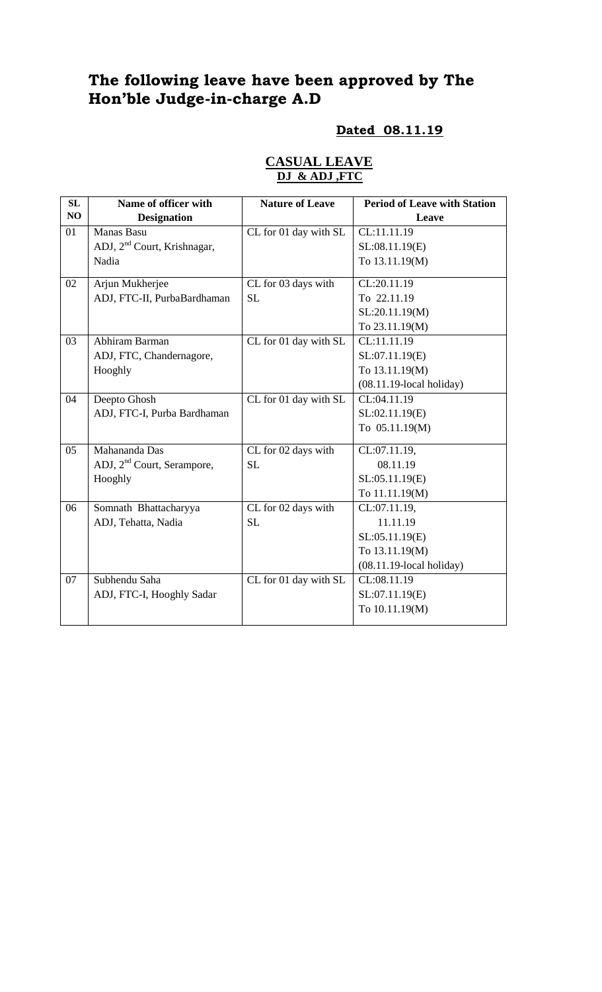# **The following leave have been approved by The Hon'ble Judge-in-charge A.D**

# **Dated 08.11.19**

| SL             | Name of officer with                    | <b>Nature of Leave</b>    | <b>Period of Leave with Station</b> |
|----------------|-----------------------------------------|---------------------------|-------------------------------------|
| NO             | <b>Designation</b>                      |                           | Leave                               |
| 01             | Manas Basu                              | CL for 01 day with SL     | CL:11.11.19                         |
|                | ADJ, 2 <sup>nd</sup> Court, Krishnagar, |                           | SL:08.11.19(E)                      |
|                | Nadia                                   |                           | To 13.11.19(M)                      |
| 02             | Arjun Mukherjee                         | CL for 03 days with       | CL:20.11.19                         |
|                | ADJ, FTC-II, PurbaBardhaman             | <b>SL</b>                 | To 22.11.19                         |
|                |                                         |                           | SL:20.11.19(M)                      |
|                |                                         |                           | To 23.11.19(M)                      |
| 03             | Abhiram Barman                          | CL for 01 day with SL     | CL:11.11.19                         |
|                | ADJ, FTC, Chandernagore,                |                           | SL:07.11.19(E)                      |
|                | Hooghly                                 |                           | To 13.11.19(M)                      |
|                |                                         |                           | $(08.11.19$ -local holiday)         |
| 04             | Deepto Ghosh                            | $CL$ for $01$ day with SL | CL:04.11.19                         |
|                | ADJ, FTC-I, Purba Bardhaman             |                           | SL:02.11.19(E)                      |
|                |                                         |                           | To 05.11.19(M)                      |
| 0 <sub>5</sub> | Mahananda Das                           | CL for 02 days with       | CL:07.11.19,                        |
|                | ADJ, 2 <sup>nd</sup> Court, Serampore,  | <b>SL</b>                 | 08.11.19                            |
|                | Hooghly                                 |                           | SL:05.11.19(E)                      |
|                |                                         |                           | To 11.11.19(M)                      |
| 06             | Somnath Bhattacharyya                   | CL for 02 days with       | CL:07.11.19,                        |
|                | ADJ, Tehatta, Nadia                     | <b>SL</b>                 | 11.11.19                            |
|                |                                         |                           | SL:05.11.19(E)                      |
|                |                                         |                           | To 13.11.19(M)                      |
|                |                                         |                           | $(08.11.19$ -local holiday)         |
| 07             | Subhendu Saha                           | CL for 01 day with SL     | CL:08.11.19                         |
|                | ADJ, FTC-I, Hooghly Sadar               |                           | SL:07.11.19(E)                      |
|                |                                         |                           | To 10.11.19(M)                      |

### **CASUAL LEAVE DJ & ADJ ,FTC**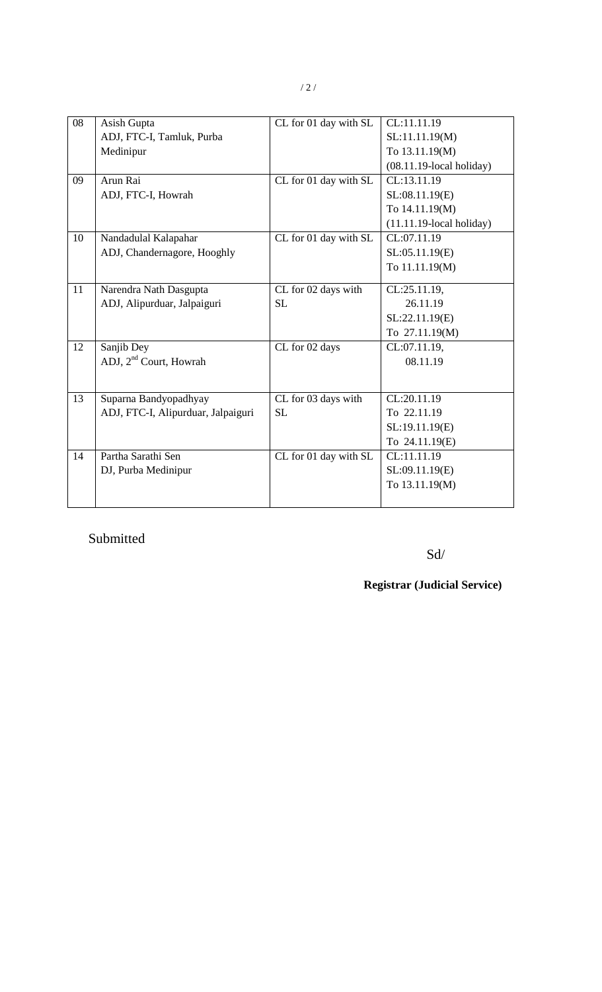| 08 | Asish Gupta                        | CL for 01 day with SL | CL:11.11.19                 |
|----|------------------------------------|-----------------------|-----------------------------|
|    | ADJ, FTC-I, Tamluk, Purba          |                       | SL:11.11.19(M)              |
|    | Medinipur                          |                       | To 13.11.19(M)              |
|    |                                    |                       | $(08.11.19$ -local holiday) |
| 09 | Arun Rai                           | CL for 01 day with SL | CL:13.11.19                 |
|    | ADJ, FTC-I, Howrah                 |                       | SL:08.11.19(E)              |
|    |                                    |                       | To 14.11.19(M)              |
|    |                                    |                       | $(11.11.19$ -local holiday) |
| 10 | Nandadulal Kalapahar               | CL for 01 day with SL | CL:07.11.19                 |
|    | ADJ, Chandernagore, Hooghly        |                       | SL:05.11.19(E)              |
|    |                                    |                       | To 11.11.19(M)              |
| 11 | Narendra Nath Dasgupta             | CL for 02 days with   | CL:25.11.19,                |
|    |                                    | <b>SL</b>             | 26.11.19                    |
|    | ADJ, Alipurduar, Jalpaiguri        |                       |                             |
|    |                                    |                       | SL:22.11.19(E)              |
|    |                                    |                       | To 27.11.19(M)              |
| 12 | Sanjib Dey                         | CL for 02 days        | CL:07.11.19,                |
|    | ADJ, 2 <sup>nd</sup> Court, Howrah |                       | 08.11.19                    |
|    |                                    |                       |                             |
| 13 | Suparna Bandyopadhyay              | CL for 03 days with   | CL:20.11.19                 |
|    | ADJ, FTC-I, Alipurduar, Jalpaiguri | <b>SL</b>             | To 22.11.19                 |
|    |                                    |                       | SL:19.11.19(E)              |
|    |                                    |                       | To 24.11.19(E)              |
| 14 | Partha Sarathi Sen                 | CL for 01 day with SL | CL:11.11.19                 |
|    | DJ, Purba Medinipur                |                       | SL:09.11.19(E)              |
|    |                                    |                       | To 13.11.19(M)              |
|    |                                    |                       |                             |

## Submitted

Sd/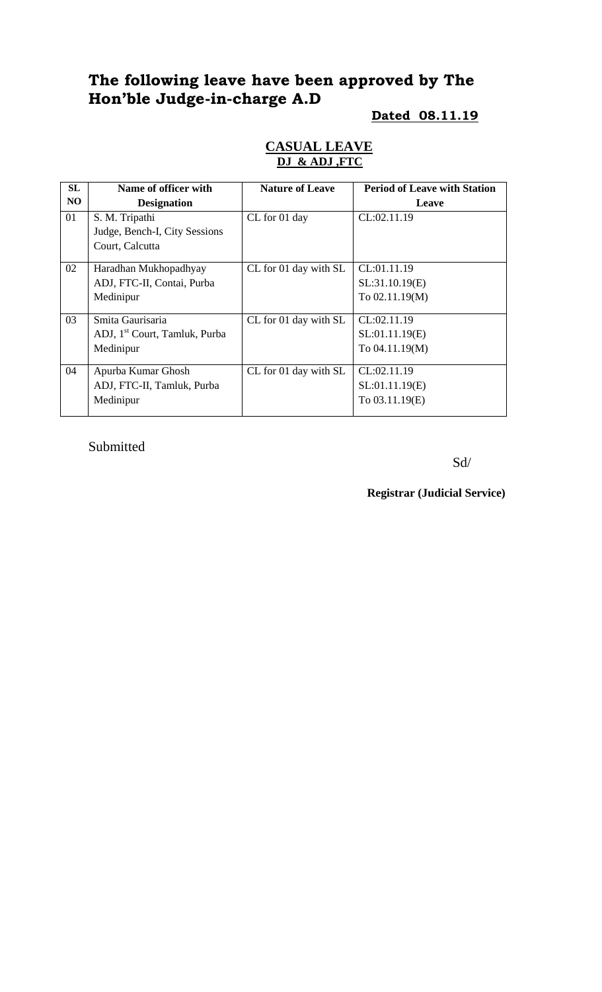# **The following leave have been approved by The Hon'ble Judge-in-charge A.D**

#### **Dated 08.11.19**

#### **CASUAL LEAVE DJ & ADJ ,FTC**

| <b>SL</b> | Name of officer with                      | <b>Nature of Leave</b> | <b>Period of Leave with Station</b> |
|-----------|-------------------------------------------|------------------------|-------------------------------------|
| NO        | <b>Designation</b>                        |                        | Leave                               |
| 01        | S. M. Tripathi                            | CL for 01 day          | CL:02.11.19                         |
|           | Judge, Bench-I, City Sessions             |                        |                                     |
|           | Court, Calcutta                           |                        |                                     |
| 02        | Haradhan Mukhopadhyay                     | CL for 01 day with SL  | CL:01.11.19                         |
|           | ADJ, FTC-II, Contai, Purba                |                        | SL:31.10.19(E)                      |
|           | Medinipur                                 |                        | To $02.11.19(M)$                    |
|           |                                           |                        |                                     |
| 03        | Smita Gaurisaria                          | CL for 01 day with SL  | CL:02.11.19                         |
|           | ADJ, 1 <sup>st</sup> Court, Tamluk, Purba |                        | SL:01.11.19(E)                      |
|           | Medinipur                                 |                        | To 04.11.19(M)                      |
|           |                                           |                        |                                     |
| 04        | Apurba Kumar Ghosh                        | CL for 01 day with SL  | CL:02.11.19                         |
|           | ADJ, FTC-II, Tamluk, Purba                |                        | SL:01.11.19(E)                      |
|           | Medinipur                                 |                        | To 03.11.19(E)                      |
|           |                                           |                        |                                     |

Submitted

Sd/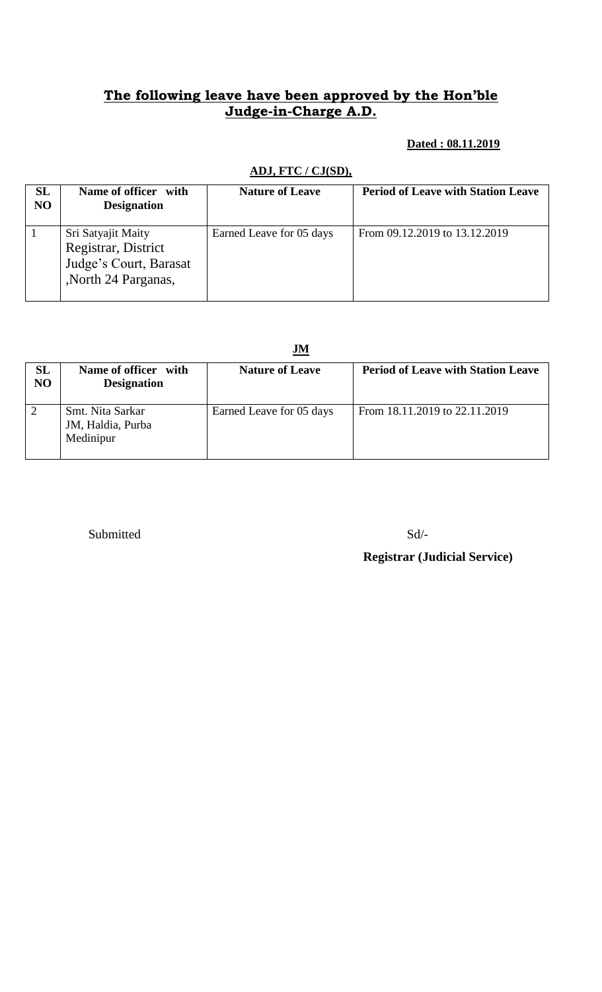## **The following leave have been approved by the Hon'ble Judge-in-Charge A.D.**

#### **Dated : 08.11.2019**

## **ADJ, FTC / CJ(SD),**

| SL<br>NO | Name of officer with<br><b>Designation</b>                                                 | <b>Nature of Leave</b>   | <b>Period of Leave with Station Leave</b> |
|----------|--------------------------------------------------------------------------------------------|--------------------------|-------------------------------------------|
|          | Sri Satyajit Maity<br>Registrar, District<br>Judge's Court, Barasat<br>,North 24 Parganas, | Earned Leave for 05 days | From 09.12.2019 to 13.12.2019             |

|                 | JM                                                 |                          |                                           |  |
|-----------------|----------------------------------------------------|--------------------------|-------------------------------------------|--|
| <b>SL</b><br>NO | Name of officer with<br><b>Designation</b>         | <b>Nature of Leave</b>   | <b>Period of Leave with Station Leave</b> |  |
| $\overline{2}$  | Smt. Nita Sarkar<br>JM, Haldia, Purba<br>Medinipur | Earned Leave for 05 days | From 18.11.2019 to 22.11.2019             |  |

Submitted Sd/-